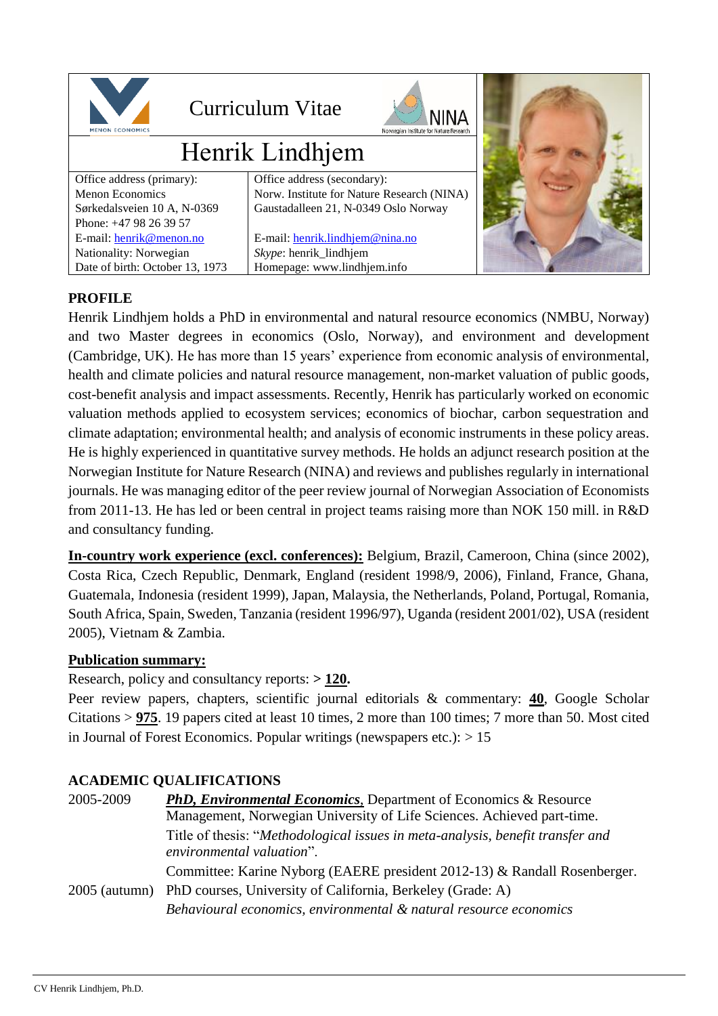

## Curriculum Vitae



# Henrik Lindhjem

| Office address (primary):       | Offic |
|---------------------------------|-------|
| <b>Menon Economics</b>          | Nory  |
| Sørkedalsveien 10 A, N-0369     | Gaus  |
| Phone: +47 98 26 39 57          |       |
| E-mail: henrik@menon.no         | $E-m$ |
| Nationality: Norwegian          | Skyp  |
| Date of birth: October 13, 1973 |       |

ce address (secondary): w. Institute for Nature Research (NINA) stadalleen 21, N-0349 Oslo Norway ail: henrik.lindhiem@nina.no  $ee$ : henrik\_lindhjem

nepage: www.lindhjem.info



## **PROFILE**

Henrik Lindhjem holds a PhD in environmental and natural resource economics (NMBU, Norway) and two Master degrees in economics (Oslo, Norway), and environment and development (Cambridge, UK). He has more than 15 years' experience from economic analysis of environmental, health and climate policies and natural resource management, non-market valuation of public goods, cost-benefit analysis and impact assessments. Recently, Henrik has particularly worked on economic valuation methods applied to ecosystem services; economics of biochar, carbon sequestration and climate adaptation; environmental health; and analysis of economic instruments in these policy areas. He is highly experienced in quantitative survey methods. He holds an adjunct research position at the Norwegian Institute for Nature Research (NINA) and reviews and publishes regularly in international journals. He was managing editor of the peer review journal of Norwegian Association of Economists from 2011-13. He has led or been central in project teams raising more than NOK 150 mill. in R&D and consultancy funding.

**In-country work experience (excl. conferences):** Belgium, Brazil, Cameroon, China (since 2002), Costa Rica, Czech Republic, Denmark, England (resident 1998/9, 2006), Finland, France, Ghana, Guatemala, Indonesia (resident 1999), Japan, Malaysia, the Netherlands, Poland, Portugal, Romania, South Africa, Spain, Sweden, Tanzania (resident 1996/97), Uganda (resident 2001/02), USA (resident 2005), Vietnam & Zambia.

#### **Publication summary:**

Research, policy and consultancy reports: **> 120.**

Peer review papers, chapters, scientific journal editorials & commentary: **40**, Google Scholar Citations > **975**. 19 papers cited at least 10 times, 2 more than 100 times; 7 more than 50. Most cited in Journal of Forest Economics. Popular writings (newspapers etc.):  $> 15$ 

## **ACADEMIC QUALIFICATIONS**

| 2005-2009       | <b>PhD, Environmental Economics, Department of Economics &amp; Resource</b>                                 |
|-----------------|-------------------------------------------------------------------------------------------------------------|
|                 | Management, Norwegian University of Life Sciences. Achieved part-time.                                      |
|                 | Title of thesis: "Methodological issues in meta-analysis, benefit transfer and<br>environmental valuation". |
|                 | Committee: Karine Nyborg (EAERE president 2012-13) & Randall Rosenberger.                                   |
| $2005$ (autumn) | PhD courses, University of California, Berkeley (Grade: A)                                                  |
|                 | Behavioural economics, environmental & natural resource economics                                           |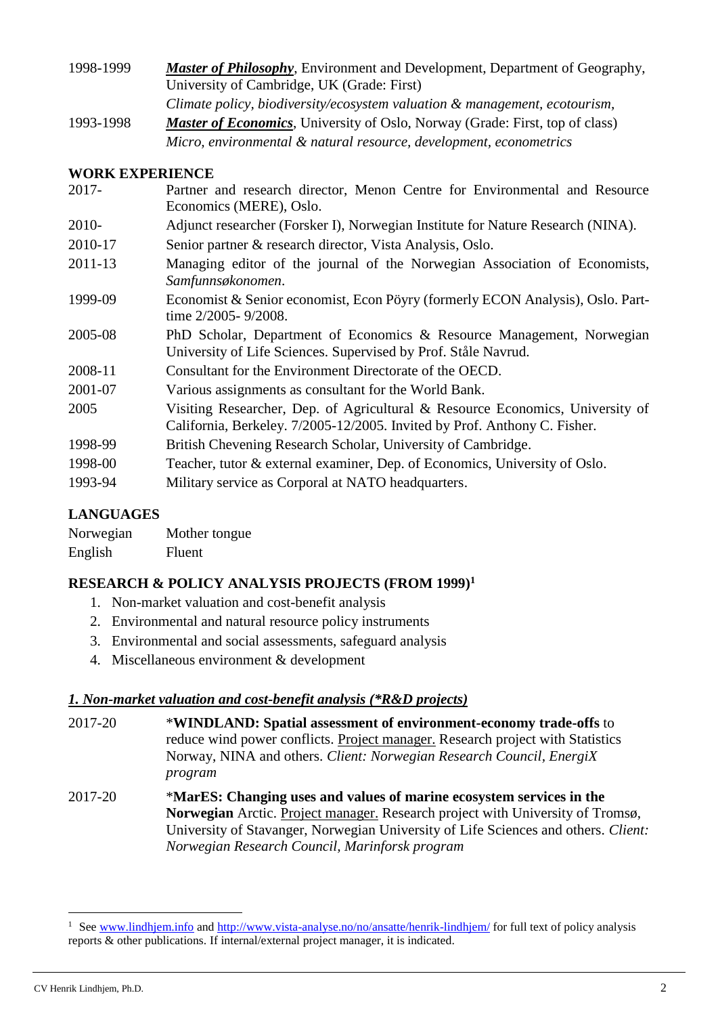| 1998-1999 | <b>Master of Philosophy</b> , Environment and Development, Department of Geography,  |
|-----------|--------------------------------------------------------------------------------------|
|           | University of Cambridge, UK (Grade: First)                                           |
|           | Climate policy, biodiversity/ecosystem valuation & management, ecotourism,           |
| 1993-1998 | <i>Master of Economics</i> , University of Oslo, Norway (Grade: First, top of class) |
|           | Micro, environmental & natural resource, development, econometrics                   |

### **WORK EXPERIENCE**

| $2017 -$ | Partner and research director, Menon Centre for Environmental and Resource<br>Economics (MERE), Oslo.                                                      |
|----------|------------------------------------------------------------------------------------------------------------------------------------------------------------|
| 2010-    | Adjunct researcher (Forsker I), Norwegian Institute for Nature Research (NINA).                                                                            |
| 2010-17  | Senior partner & research director, Vista Analysis, Oslo.                                                                                                  |
| 2011-13  | Managing editor of the journal of the Norwegian Association of Economists,<br>Samfunnsøkonomen.                                                            |
| 1999-09  | Economist & Senior economist, Econ Pöyry (formerly ECON Analysis), Oslo. Part-<br>time 2/2005-9/2008.                                                      |
| 2005-08  | PhD Scholar, Department of Economics & Resource Management, Norwegian<br>University of Life Sciences. Supervised by Prof. Ståle Navrud.                    |
| 2008-11  | Consultant for the Environment Directorate of the OECD.                                                                                                    |
| 2001-07  | Various assignments as consultant for the World Bank.                                                                                                      |
| 2005     | Visiting Researcher, Dep. of Agricultural & Resource Economics, University of<br>California, Berkeley. 7/2005-12/2005. Invited by Prof. Anthony C. Fisher. |
| 1998-99  | British Chevening Research Scholar, University of Cambridge.                                                                                               |
| 1998-00  | Teacher, tutor & external examiner, Dep. of Economics, University of Oslo.                                                                                 |
| 1993-94  | Military service as Corporal at NATO headquarters.                                                                                                         |

## **LANGUAGES**

| Norwegian | Mother tongue |
|-----------|---------------|
| English   | Fluent        |

## **RESEARCH & POLICY ANALYSIS PROJECTS (FROM 1999) 1**

- 1. Non-market valuation and cost-benefit analysis
- 2. Environmental and natural resource policy instruments
- 3. Environmental and social assessments, safeguard analysis
- 4. Miscellaneous environment & development

#### *1. Non-market valuation and cost-benefit analysis (\*R&D projects)*

- 2017-20 \***WINDLAND: Spatial assessment of environment-economy trade-offs** to reduce wind power conflicts. Project manager. Research project with Statistics Norway, NINA and others. *Client: Norwegian Research Council, EnergiX program*
- 2017-20 \***MarES: Changing uses and values of marine ecosystem services in the Norwegian** Arctic. Project manager. Research project with University of Tromsø, University of Stavanger, Norwegian University of Life Sciences and others. *Client: Norwegian Research Council, Marinforsk program*

-

<sup>&</sup>lt;sup>1</sup> Se[e www.lindhjem.info](http://www.lindhjem.info/) and<http://www.vista-analyse.no/no/ansatte/henrik-lindhjem/> for full text of policy analysis reports & other publications. If internal/external project manager, it is indicated.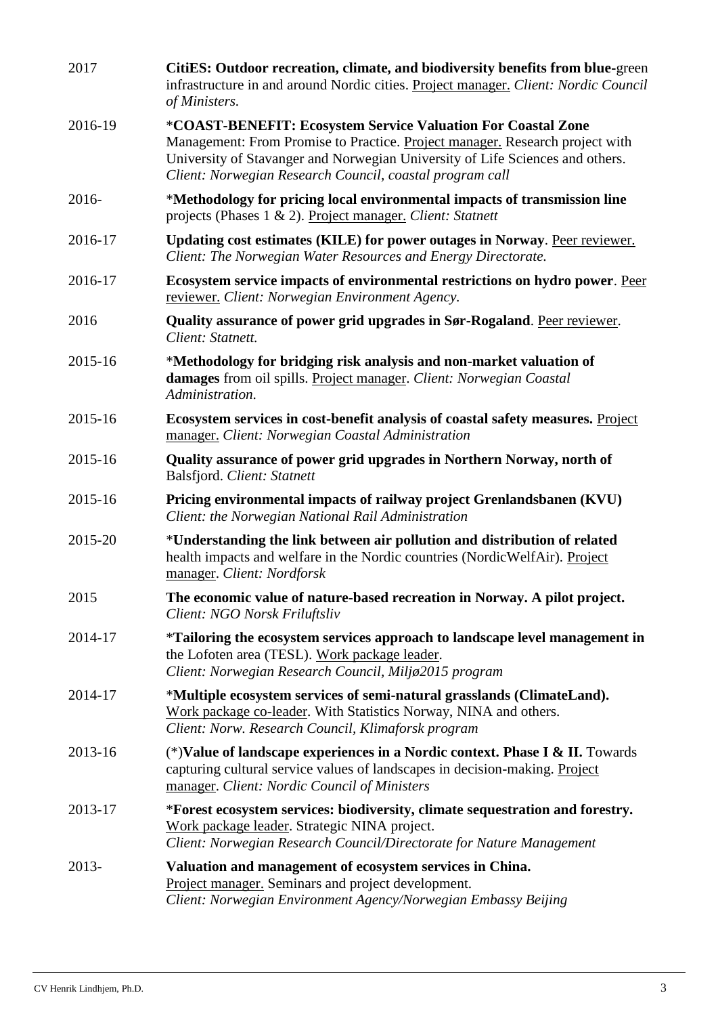| 2017    | CitiES: Outdoor recreation, climate, and biodiversity benefits from blue-green<br>infrastructure in and around Nordic cities. Project manager. Client: Nordic Council<br>of Ministers.                                                                                                    |
|---------|-------------------------------------------------------------------------------------------------------------------------------------------------------------------------------------------------------------------------------------------------------------------------------------------|
| 2016-19 | *COAST-BENEFIT: Ecosystem Service Valuation For Coastal Zone<br>Management: From Promise to Practice. Project manager. Research project with<br>University of Stavanger and Norwegian University of Life Sciences and others.<br>Client: Norwegian Research Council, coastal program call |
| 2016-   | *Methodology for pricing local environmental impacts of transmission line<br>projects (Phases 1 & 2). Project manager. Client: Statnett                                                                                                                                                   |
| 2016-17 | Updating cost estimates (KILE) for power outages in Norway. Peer reviewer.<br>Client: The Norwegian Water Resources and Energy Directorate.                                                                                                                                               |
| 2016-17 | Ecosystem service impacts of environmental restrictions on hydro power. Peer<br>reviewer. Client: Norwegian Environment Agency.                                                                                                                                                           |
| 2016    | Quality assurance of power grid upgrades in Sør-Rogaland. Peer reviewer.<br>Client: Statnett.                                                                                                                                                                                             |
| 2015-16 | *Methodology for bridging risk analysis and non-market valuation of<br>damages from oil spills. Project manager. Client: Norwegian Coastal<br>Administration.                                                                                                                             |
| 2015-16 | Ecosystem services in cost-benefit analysis of coastal safety measures. Project<br>manager. Client: Norwegian Coastal Administration                                                                                                                                                      |
| 2015-16 | Quality assurance of power grid upgrades in Northern Norway, north of<br>Balsfjord. Client: Statnett                                                                                                                                                                                      |
| 2015-16 | Pricing environmental impacts of railway project Grenlandsbanen (KVU)<br>Client: the Norwegian National Rail Administration                                                                                                                                                               |
| 2015-20 | *Understanding the link between air pollution and distribution of related<br>health impacts and welfare in the Nordic countries (NordicWelfAir). Project<br>manager. Client: Nordforsk                                                                                                    |
| 2015    | The economic value of nature-based recreation in Norway. A pilot project.<br>Client: NGO Norsk Friluftsliv                                                                                                                                                                                |
| 2014-17 | *Tailoring the ecosystem services approach to landscape level management in<br>the Lofoten area (TESL). Work package leader.<br>Client: Norwegian Research Council, Miljø2015 program                                                                                                     |
| 2014-17 | *Multiple ecosystem services of semi-natural grasslands (ClimateLand).<br>Work package co-leader. With Statistics Norway, NINA and others.<br>Client: Norw. Research Council, Klimaforsk program                                                                                          |
| 2013-16 | (*) Value of landscape experiences in a Nordic context. Phase I & II. Towards<br>capturing cultural service values of landscapes in decision-making. Project<br>manager. Client: Nordic Council of Ministers                                                                              |
| 2013-17 | *Forest ecosystem services: biodiversity, climate sequestration and forestry.<br>Work package leader. Strategic NINA project.<br>Client: Norwegian Research Council/Directorate for Nature Management                                                                                     |
| 2013-   | Valuation and management of ecosystem services in China.<br>Project manager. Seminars and project development.<br>Client: Norwegian Environment Agency/Norwegian Embassy Beijing                                                                                                          |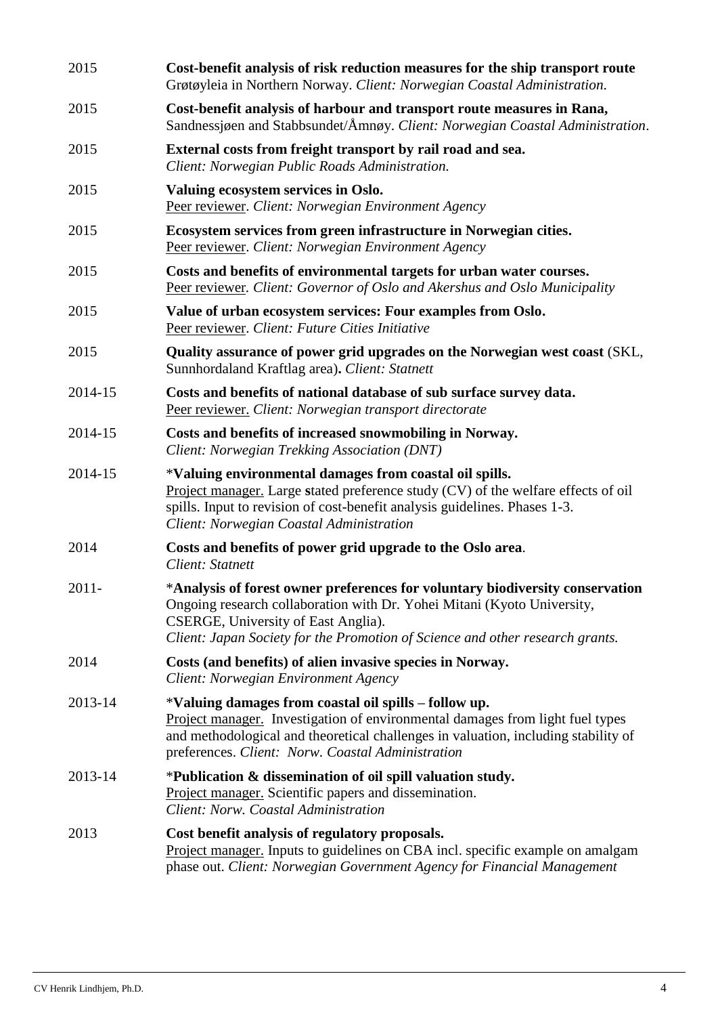| 2015     | Cost-benefit analysis of risk reduction measures for the ship transport route<br>Grøtøyleia in Northern Norway. Client: Norwegian Coastal Administration.                                                                                                                         |
|----------|-----------------------------------------------------------------------------------------------------------------------------------------------------------------------------------------------------------------------------------------------------------------------------------|
| 2015     | Cost-benefit analysis of harbour and transport route measures in Rana,<br>Sandnessigen and Stabbsundet/Åmnøy. Client: Norwegian Coastal Administration.                                                                                                                           |
| 2015     | External costs from freight transport by rail road and sea.<br>Client: Norwegian Public Roads Administration.                                                                                                                                                                     |
| 2015     | Valuing ecosystem services in Oslo.<br>Peer reviewer. Client: Norwegian Environment Agency                                                                                                                                                                                        |
| 2015     | Ecosystem services from green infrastructure in Norwegian cities.<br>Peer reviewer. Client: Norwegian Environment Agency                                                                                                                                                          |
| 2015     | Costs and benefits of environmental targets for urban water courses.<br>Peer reviewer. Client: Governor of Oslo and Akershus and Oslo Municipality                                                                                                                                |
| 2015     | Value of urban ecosystem services: Four examples from Oslo.<br>Peer reviewer. Client: Future Cities Initiative                                                                                                                                                                    |
| 2015     | Quality assurance of power grid upgrades on the Norwegian west coast (SKL,<br>Sunnhordaland Kraftlag area). Client: Statnett                                                                                                                                                      |
| 2014-15  | Costs and benefits of national database of sub surface survey data.<br>Peer reviewer. Client: Norwegian transport directorate                                                                                                                                                     |
| 2014-15  | Costs and benefits of increased snowmobiling in Norway.<br>Client: Norwegian Trekking Association (DNT)                                                                                                                                                                           |
| 2014-15  | *Valuing environmental damages from coastal oil spills.<br>Project manager. Large stated preference study (CV) of the welfare effects of oil<br>spills. Input to revision of cost-benefit analysis guidelines. Phases 1-3.<br>Client: Norwegian Coastal Administration            |
| 2014     | Costs and benefits of power grid upgrade to the Oslo area.<br>Client: Statnett                                                                                                                                                                                                    |
| $2011 -$ | *Analysis of forest owner preferences for voluntary biodiversity conservation<br>Ongoing research collaboration with Dr. Yohei Mitani (Kyoto University,<br>CSERGE, University of East Anglia).<br>Client: Japan Society for the Promotion of Science and other research grants.  |
| 2014     | Costs (and benefits) of alien invasive species in Norway.<br>Client: Norwegian Environment Agency                                                                                                                                                                                 |
| 2013-14  | *Valuing damages from coastal oil spills – follow up.<br>Project manager. Investigation of environmental damages from light fuel types<br>and methodological and theoretical challenges in valuation, including stability of<br>preferences. Client: Norw. Coastal Administration |
| 2013-14  | *Publication & dissemination of oil spill valuation study.<br><b>Project manager.</b> Scientific papers and dissemination.<br>Client: Norw. Coastal Administration                                                                                                                |
| 2013     | Cost benefit analysis of regulatory proposals.<br>Project manager. Inputs to guidelines on CBA incl. specific example on amalgam<br>phase out. Client: Norwegian Government Agency for Financial Management                                                                       |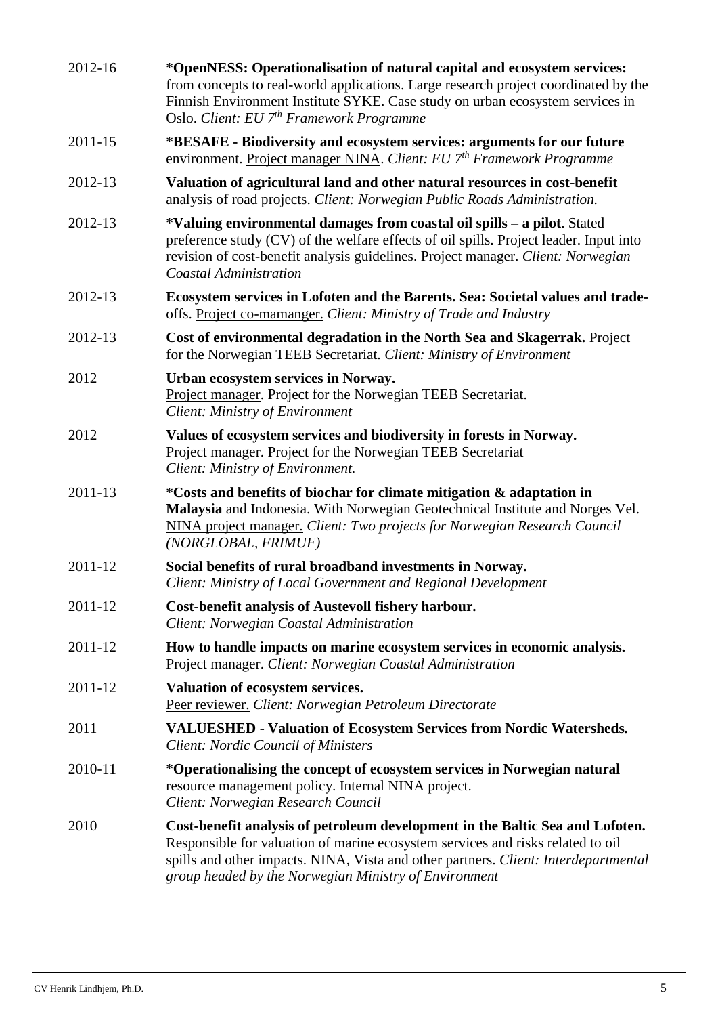| 2012-16 | *OpenNESS: Operationalisation of natural capital and ecosystem services:<br>from concepts to real-world applications. Large research project coordinated by the<br>Finnish Environment Institute SYKE. Case study on urban ecosystem services in<br>Oslo. Client: EU 7 <sup>th</sup> Framework Programme         |
|---------|------------------------------------------------------------------------------------------------------------------------------------------------------------------------------------------------------------------------------------------------------------------------------------------------------------------|
| 2011-15 | *BESAFE - Biodiversity and ecosystem services: arguments for our future<br>environment. Project manager NINA. Client: EU 7th Framework Programme                                                                                                                                                                 |
| 2012-13 | Valuation of agricultural land and other natural resources in cost-benefit<br>analysis of road projects. Client: Norwegian Public Roads Administration.                                                                                                                                                          |
| 2012-13 | *Valuing environmental damages from coastal oil spills - a pilot. Stated<br>preference study (CV) of the welfare effects of oil spills. Project leader. Input into<br>revision of cost-benefit analysis guidelines. Project manager. Client: Norwegian<br><b>Coastal Administration</b>                          |
| 2012-13 | Ecosystem services in Lofoten and the Barents. Sea: Societal values and trade-<br>offs. Project co-mamanger. Client: Ministry of Trade and Industry                                                                                                                                                              |
| 2012-13 | Cost of environmental degradation in the North Sea and Skagerrak. Project<br>for the Norwegian TEEB Secretariat. Client: Ministry of Environment                                                                                                                                                                 |
| 2012    | Urban ecosystem services in Norway.<br>Project manager. Project for the Norwegian TEEB Secretariat.<br>Client: Ministry of Environment                                                                                                                                                                           |
| 2012    | Values of ecosystem services and biodiversity in forests in Norway.<br>Project manager. Project for the Norwegian TEEB Secretariat<br>Client: Ministry of Environment.                                                                                                                                           |
| 2011-13 | *Costs and benefits of biochar for climate mitigation & adaptation in<br>Malaysia and Indonesia. With Norwegian Geotechnical Institute and Norges Vel.<br>NINA project manager. Client: Two projects for Norwegian Research Council<br>(NORGLOBAL, FRIMUF)                                                       |
| 2011-12 | Social benefits of rural broadband investments in Norway.<br>Client: Ministry of Local Government and Regional Development                                                                                                                                                                                       |
| 2011-12 | Cost-benefit analysis of Austevoll fishery harbour.<br>Client: Norwegian Coastal Administration                                                                                                                                                                                                                  |
| 2011-12 | How to handle impacts on marine ecosystem services in economic analysis.<br>Project manager. Client: Norwegian Coastal Administration                                                                                                                                                                            |
| 2011-12 | Valuation of ecosystem services.<br>Peer reviewer. Client: Norwegian Petroleum Directorate                                                                                                                                                                                                                       |
| 2011    | <b>VALUESHED - Valuation of Ecosystem Services from Nordic Watersheds.</b><br><b>Client: Nordic Council of Ministers</b>                                                                                                                                                                                         |
| 2010-11 | *Operationalising the concept of ecosystem services in Norwegian natural<br>resource management policy. Internal NINA project.<br>Client: Norwegian Research Council                                                                                                                                             |
| 2010    | Cost-benefit analysis of petroleum development in the Baltic Sea and Lofoten.<br>Responsible for valuation of marine ecosystem services and risks related to oil<br>spills and other impacts. NINA, Vista and other partners. Client: Interdepartmental<br>group headed by the Norwegian Ministry of Environment |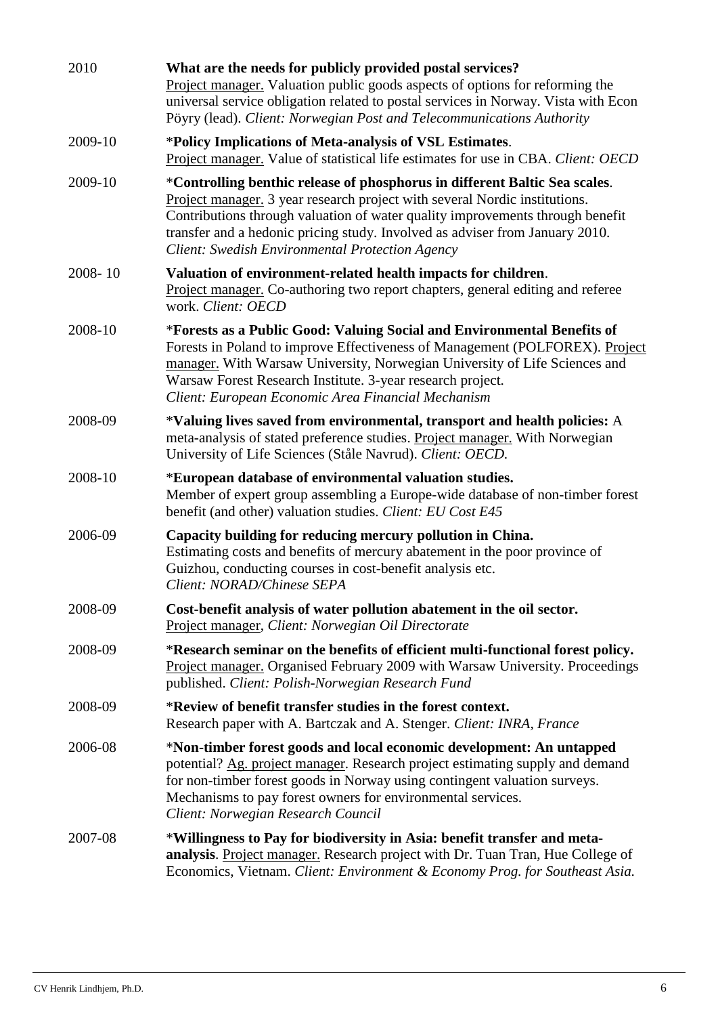| 2010    | What are the needs for publicly provided postal services?<br><b>Project manager.</b> Valuation public goods aspects of options for reforming the<br>universal service obligation related to postal services in Norway. Vista with Econ<br>Pöyry (lead). Client: Norwegian Post and Telecommunications Authority                                                              |
|---------|------------------------------------------------------------------------------------------------------------------------------------------------------------------------------------------------------------------------------------------------------------------------------------------------------------------------------------------------------------------------------|
| 2009-10 | *Policy Implications of Meta-analysis of VSL Estimates.<br>Project manager. Value of statistical life estimates for use in CBA. Client: OECD                                                                                                                                                                                                                                 |
| 2009-10 | *Controlling benthic release of phosphorus in different Baltic Sea scales.<br>Project manager. 3 year research project with several Nordic institutions.<br>Contributions through valuation of water quality improvements through benefit<br>transfer and a hedonic pricing study. Involved as adviser from January 2010.<br>Client: Swedish Environmental Protection Agency |
| 2008-10 | Valuation of environment-related health impacts for children.<br>Project manager. Co-authoring two report chapters, general editing and referee<br>work. Client: OECD                                                                                                                                                                                                        |
| 2008-10 | *Forests as a Public Good: Valuing Social and Environmental Benefits of<br>Forests in Poland to improve Effectiveness of Management (POLFOREX). Project<br>manager. With Warsaw University, Norwegian University of Life Sciences and<br>Warsaw Forest Research Institute. 3-year research project.<br>Client: European Economic Area Financial Mechanism                    |
| 2008-09 | *Valuing lives saved from environmental, transport and health policies: A<br>meta-analysis of stated preference studies. Project manager. With Norwegian<br>University of Life Sciences (Ståle Navrud). Client: OECD.                                                                                                                                                        |
| 2008-10 | *European database of environmental valuation studies.<br>Member of expert group assembling a Europe-wide database of non-timber forest<br>benefit (and other) valuation studies. Client: EU Cost E45                                                                                                                                                                        |
| 2006-09 | Capacity building for reducing mercury pollution in China.<br>Estimating costs and benefits of mercury abatement in the poor province of<br>Guizhou, conducting courses in cost-benefit analysis etc.<br>Client: NORAD/Chinese SEPA                                                                                                                                          |
| 2008-09 | Cost-benefit analysis of water pollution abatement in the oil sector.<br>Project manager, Client: Norwegian Oil Directorate                                                                                                                                                                                                                                                  |
| 2008-09 | *Research seminar on the benefits of efficient multi-functional forest policy.<br>Project manager. Organised February 2009 with Warsaw University. Proceedings<br>published. Client: Polish-Norwegian Research Fund                                                                                                                                                          |
| 2008-09 | *Review of benefit transfer studies in the forest context.<br>Research paper with A. Bartczak and A. Stenger. Client: INRA, France                                                                                                                                                                                                                                           |
| 2006-08 | *Non-timber forest goods and local economic development: An untapped<br>potential? Ag. project manager. Research project estimating supply and demand<br>for non-timber forest goods in Norway using contingent valuation surveys.<br>Mechanisms to pay forest owners for environmental services.<br>Client: Norwegian Research Council                                      |
| 2007-08 | *Willingness to Pay for biodiversity in Asia: benefit transfer and meta-<br>analysis. Project manager. Research project with Dr. Tuan Tran, Hue College of<br>Economics, Vietnam. Client: Environment & Economy Prog. for Southeast Asia.                                                                                                                                    |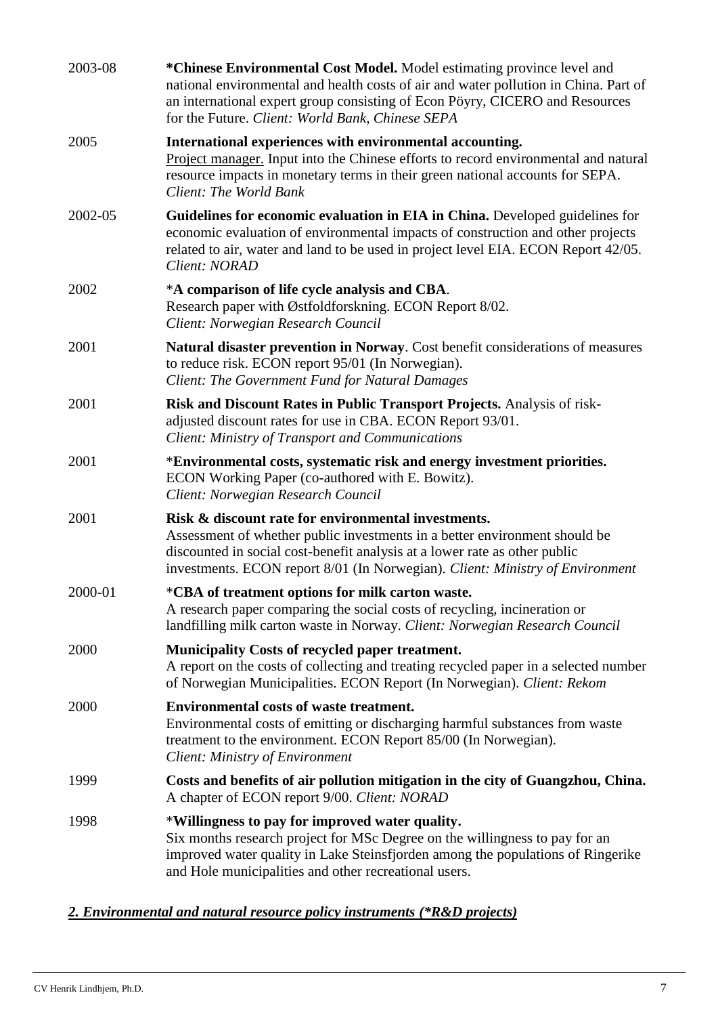| 2003-08 | *Chinese Environmental Cost Model. Model estimating province level and<br>national environmental and health costs of air and water pollution in China. Part of<br>an international expert group consisting of Econ Pöyry, CICERO and Resources<br>for the Future. Client: World Bank, Chinese SEPA |
|---------|----------------------------------------------------------------------------------------------------------------------------------------------------------------------------------------------------------------------------------------------------------------------------------------------------|
| 2005    | International experiences with environmental accounting.<br>Project manager. Input into the Chinese efforts to record environmental and natural<br>resource impacts in monetary terms in their green national accounts for SEPA.<br>Client: The World Bank                                         |
| 2002-05 | Guidelines for economic evaluation in EIA in China. Developed guidelines for<br>economic evaluation of environmental impacts of construction and other projects<br>related to air, water and land to be used in project level EIA. ECON Report 42/05.<br>Client: NORAD                             |
| 2002    | *A comparison of life cycle analysis and CBA.<br>Research paper with Østfoldforskning. ECON Report 8/02.<br>Client: Norwegian Research Council                                                                                                                                                     |
| 2001    | Natural disaster prevention in Norway. Cost benefit considerations of measures<br>to reduce risk. ECON report 95/01 (In Norwegian).<br>Client: The Government Fund for Natural Damages                                                                                                             |
| 2001    | Risk and Discount Rates in Public Transport Projects. Analysis of risk-<br>adjusted discount rates for use in CBA. ECON Report 93/01.<br><b>Client: Ministry of Transport and Communications</b>                                                                                                   |
| 2001    | *Environmental costs, systematic risk and energy investment priorities.<br>ECON Working Paper (co-authored with E. Bowitz).<br>Client: Norwegian Research Council                                                                                                                                  |
| 2001    | Risk & discount rate for environmental investments.<br>Assessment of whether public investments in a better environment should be<br>discounted in social cost-benefit analysis at a lower rate as other public<br>investments. ECON report 8/01 (In Norwegian). Client: Ministry of Environment   |
| 2000-01 | *CBA of treatment options for milk carton waste.<br>A research paper comparing the social costs of recycling, incineration or<br>landfilling milk carton waste in Norway. Client: Norwegian Research Council                                                                                       |
| 2000    | <b>Municipality Costs of recycled paper treatment.</b><br>A report on the costs of collecting and treating recycled paper in a selected number<br>of Norwegian Municipalities. ECON Report (In Norwegian). Client: Rekom                                                                           |
| 2000    | <b>Environmental costs of waste treatment.</b><br>Environmental costs of emitting or discharging harmful substances from waste<br>treatment to the environment. ECON Report 85/00 (In Norwegian).<br><b>Client: Ministry of Environment</b>                                                        |
| 1999    | Costs and benefits of air pollution mitigation in the city of Guangzhou, China.<br>A chapter of ECON report 9/00. Client: NORAD                                                                                                                                                                    |
| 1998    | *Willingness to pay for improved water quality.<br>Six months research project for MSc Degree on the willingness to pay for an<br>improved water quality in Lake Steinsfjorden among the populations of Ringerike<br>and Hole municipalities and other recreational users.                         |

## *2. Environmental and natural resource policy instruments (\*R&D projects)*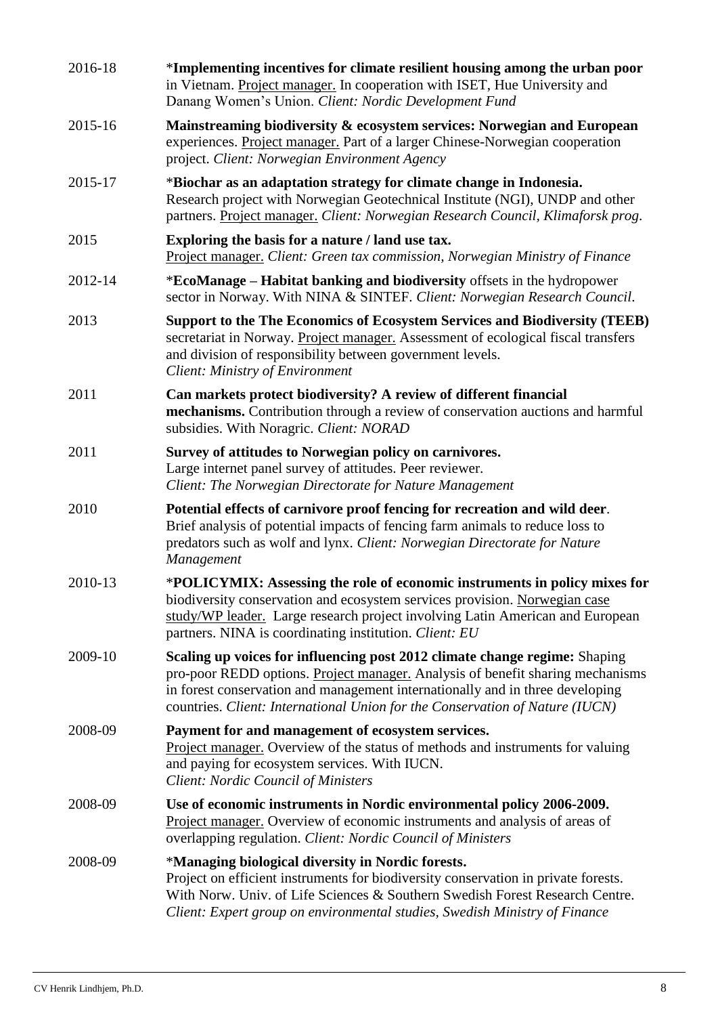| 2016-18 | *Implementing incentives for climate resilient housing among the urban poor<br>in Vietnam. Project manager. In cooperation with ISET, Hue University and<br>Danang Women's Union. Client: Nordic Development Fund                                                                                                             |
|---------|-------------------------------------------------------------------------------------------------------------------------------------------------------------------------------------------------------------------------------------------------------------------------------------------------------------------------------|
| 2015-16 | Mainstreaming biodiversity & ecosystem services: Norwegian and European<br>experiences. Project manager. Part of a larger Chinese-Norwegian cooperation<br>project. Client: Norwegian Environment Agency                                                                                                                      |
| 2015-17 | *Biochar as an adaptation strategy for climate change in Indonesia.<br>Research project with Norwegian Geotechnical Institute (NGI), UNDP and other<br>partners. Project manager. Client: Norwegian Research Council, Klimaforsk prog.                                                                                        |
| 2015    | Exploring the basis for a nature / land use tax.<br>Project manager. Client: Green tax commission, Norwegian Ministry of Finance                                                                                                                                                                                              |
| 2012-14 | *EcoManage - Habitat banking and biodiversity offsets in the hydropower<br>sector in Norway. With NINA & SINTEF. Client: Norwegian Research Council.                                                                                                                                                                          |
| 2013    | <b>Support to the The Economics of Ecosystem Services and Biodiversity (TEEB)</b><br>secretariat in Norway. Project manager. Assessment of ecological fiscal transfers<br>and division of responsibility between government levels.<br><b>Client: Ministry of Environment</b>                                                 |
| 2011    | Can markets protect biodiversity? A review of different financial<br>mechanisms. Contribution through a review of conservation auctions and harmful<br>subsidies. With Noragric. Client: NORAD                                                                                                                                |
| 2011    | Survey of attitudes to Norwegian policy on carnivores.<br>Large internet panel survey of attitudes. Peer reviewer.<br>Client: The Norwegian Directorate for Nature Management                                                                                                                                                 |
| 2010    | Potential effects of carnivore proof fencing for recreation and wild deer.<br>Brief analysis of potential impacts of fencing farm animals to reduce loss to<br>predators such as wolf and lynx. Client: Norwegian Directorate for Nature<br><b>Management</b>                                                                 |
| 2010-13 | *POLICYMIX: Assessing the role of economic instruments in policy mixes for<br>biodiversity conservation and ecosystem services provision. Norwegian case<br>study/WP leader. Large research project involving Latin American and European<br>partners. NINA is coordinating institution. Client: EU                           |
| 2009-10 | Scaling up voices for influencing post 2012 climate change regime: Shaping<br>pro-poor REDD options. Project manager. Analysis of benefit sharing mechanisms<br>in forest conservation and management internationally and in three developing<br>countries. Client: International Union for the Conservation of Nature (IUCN) |
| 2008-09 | Payment for and management of ecosystem services.<br>Project manager. Overview of the status of methods and instruments for valuing<br>and paying for ecosystem services. With IUCN.<br><b>Client: Nordic Council of Ministers</b>                                                                                            |
| 2008-09 | Use of economic instruments in Nordic environmental policy 2006-2009.<br>Project manager. Overview of economic instruments and analysis of areas of<br>overlapping regulation. Client: Nordic Council of Ministers                                                                                                            |
| 2008-09 | *Managing biological diversity in Nordic forests.<br>Project on efficient instruments for biodiversity conservation in private forests.<br>With Norw. Univ. of Life Sciences & Southern Swedish Forest Research Centre.<br>Client: Expert group on environmental studies, Swedish Ministry of Finance                         |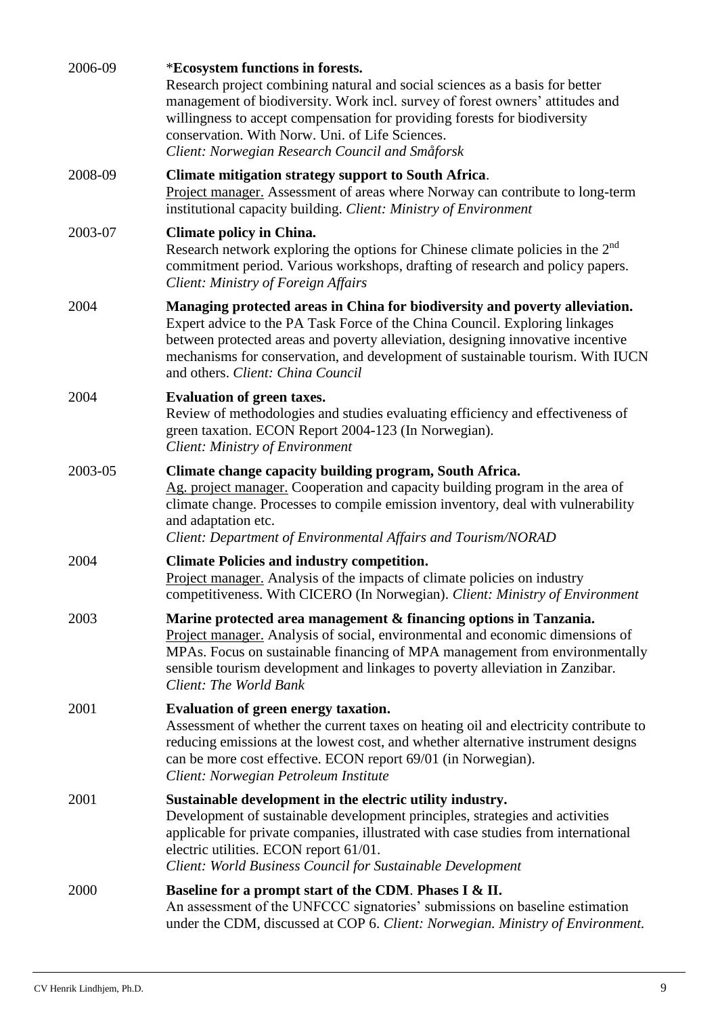| 2006-09 | *Ecosystem functions in forests.<br>Research project combining natural and social sciences as a basis for better<br>management of biodiversity. Work incl. survey of forest owners' attitudes and<br>willingness to accept compensation for providing forests for biodiversity<br>conservation. With Norw. Uni. of Life Sciences.<br>Client: Norwegian Research Council and Småforsk |
|---------|--------------------------------------------------------------------------------------------------------------------------------------------------------------------------------------------------------------------------------------------------------------------------------------------------------------------------------------------------------------------------------------|
| 2008-09 | <b>Climate mitigation strategy support to South Africa.</b><br>Project manager. Assessment of areas where Norway can contribute to long-term<br>institutional capacity building. Client: Ministry of Environment                                                                                                                                                                     |
| 2003-07 | <b>Climate policy in China.</b><br>Research network exploring the options for Chinese climate policies in the 2 <sup>nd</sup><br>commitment period. Various workshops, drafting of research and policy papers.<br>Client: Ministry of Foreign Affairs                                                                                                                                |
| 2004    | Managing protected areas in China for biodiversity and poverty alleviation.<br>Expert advice to the PA Task Force of the China Council. Exploring linkages<br>between protected areas and poverty alleviation, designing innovative incentive<br>mechanisms for conservation, and development of sustainable tourism. With IUCN<br>and others. Client: China Council                 |
| 2004    | <b>Evaluation of green taxes.</b><br>Review of methodologies and studies evaluating efficiency and effectiveness of<br>green taxation. ECON Report 2004-123 (In Norwegian).<br><b>Client: Ministry of Environment</b>                                                                                                                                                                |
| 2003-05 | Climate change capacity building program, South Africa.<br>Ag. project manager. Cooperation and capacity building program in the area of<br>climate change. Processes to compile emission inventory, deal with vulnerability<br>and adaptation etc.<br>Client: Department of Environmental Affairs and Tourism/NORAD                                                                 |
| 2004    | <b>Climate Policies and industry competition.</b><br>Project manager. Analysis of the impacts of climate policies on industry<br>competitiveness. With CICERO (In Norwegian). Client: Ministry of Environment                                                                                                                                                                        |
| 2003    | Marine protected area management & financing options in Tanzania.<br>Project manager. Analysis of social, environmental and economic dimensions of<br>MPAs. Focus on sustainable financing of MPA management from environmentally<br>sensible tourism development and linkages to poverty alleviation in Zanzibar.<br>Client: The World Bank                                         |
| 2001    | Evaluation of green energy taxation.<br>Assessment of whether the current taxes on heating oil and electricity contribute to<br>reducing emissions at the lowest cost, and whether alternative instrument designs<br>can be more cost effective. ECON report 69/01 (in Norwegian).<br>Client: Norwegian Petroleum Institute                                                          |
| 2001    | Sustainable development in the electric utility industry.<br>Development of sustainable development principles, strategies and activities<br>applicable for private companies, illustrated with case studies from international<br>electric utilities. ECON report 61/01.<br>Client: World Business Council for Sustainable Development                                              |
| 2000    | Baseline for a prompt start of the CDM. Phases I & II.<br>An assessment of the UNFCCC signatories' submissions on baseline estimation<br>under the CDM, discussed at COP 6. Client: Norwegian. Ministry of Environment.                                                                                                                                                              |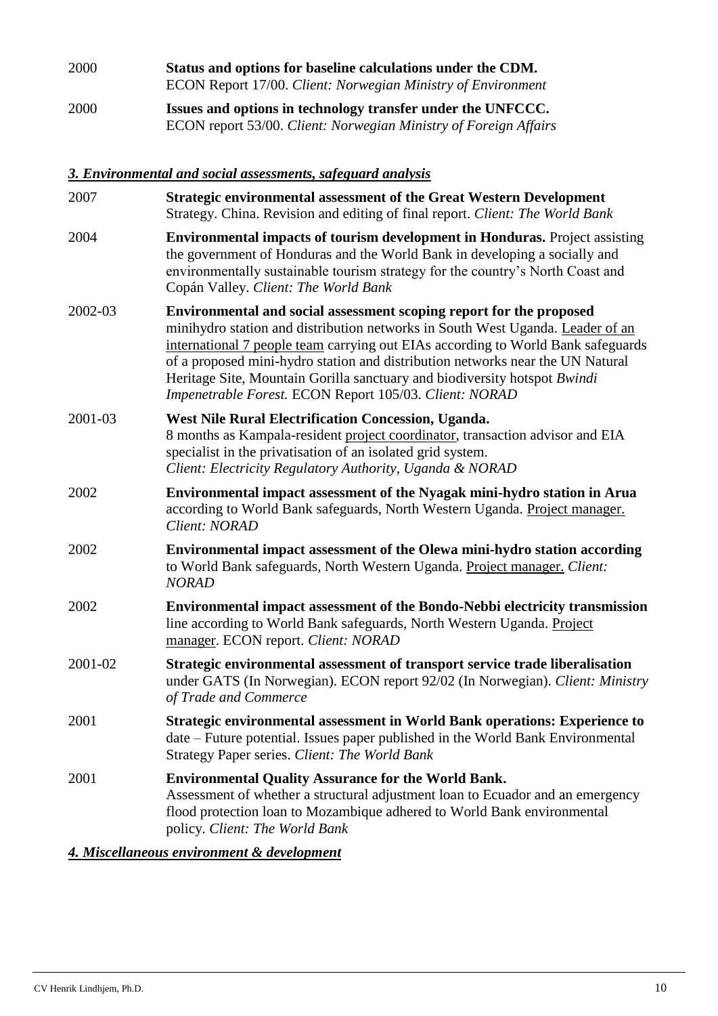2000 **Status and options for baseline calculations under the CDM.** ECON Report 17/00. *Client: Norwegian Ministry of Environment* 2000 **Issues and options in technology transfer under the UNFCCC.** ECON report 53/00. *Client: Norwegian Ministry of Foreign Affairs*

#### *3. Environmental and social assessments, safeguard analysis*

| 2007    | <b>Strategic environmental assessment of the Great Western Development</b><br>Strategy. China. Revision and editing of final report. Client: The World Bank                                                                                                                                                                                                                                                                                                        |
|---------|--------------------------------------------------------------------------------------------------------------------------------------------------------------------------------------------------------------------------------------------------------------------------------------------------------------------------------------------------------------------------------------------------------------------------------------------------------------------|
| 2004    | <b>Environmental impacts of tourism development in Honduras.</b> Project assisting<br>the government of Honduras and the World Bank in developing a socially and<br>environmentally sustainable tourism strategy for the country's North Coast and<br>Copán Valley. Client: The World Bank                                                                                                                                                                         |
| 2002-03 | Environmental and social assessment scoping report for the proposed<br>minihydro station and distribution networks in South West Uganda. Leader of an<br>international 7 people team carrying out EIAs according to World Bank safeguards<br>of a proposed mini-hydro station and distribution networks near the UN Natural<br>Heritage Site, Mountain Gorilla sanctuary and biodiversity hotspot Bwindi<br>Impenetrable Forest. ECON Report 105/03. Client: NORAD |
| 2001-03 | West Nile Rural Electrification Concession, Uganda.<br>8 months as Kampala-resident project coordinator, transaction advisor and EIA<br>specialist in the privatisation of an isolated grid system.<br>Client: Electricity Regulatory Authority, Uganda & NORAD                                                                                                                                                                                                    |
| 2002    | Environmental impact assessment of the Nyagak mini-hydro station in Arua<br>according to World Bank safeguards, North Western Uganda. Project manager.<br>Client: NORAD                                                                                                                                                                                                                                                                                            |
| 2002    | Environmental impact assessment of the Olewa mini-hydro station according<br>to World Bank safeguards, North Western Uganda. Project manager. Client:<br><b>NORAD</b>                                                                                                                                                                                                                                                                                              |
| 2002    | Environmental impact assessment of the Bondo-Nebbi electricity transmission<br>line according to World Bank safeguards, North Western Uganda. Project<br>manager. ECON report. Client: NORAD                                                                                                                                                                                                                                                                       |
| 2001-02 | Strategic environmental assessment of transport service trade liberalisation<br>under GATS (In Norwegian). ECON report 92/02 (In Norwegian). Client: Ministry<br>of Trade and Commerce                                                                                                                                                                                                                                                                             |
| 2001    | <b>Strategic environmental assessment in World Bank operations: Experience to</b><br>date – Future potential. Issues paper published in the World Bank Environmental<br>Strategy Paper series. Client: The World Bank                                                                                                                                                                                                                                              |
| 2001    | <b>Environmental Quality Assurance for the World Bank.</b><br>Assessment of whether a structural adjustment loan to Ecuador and an emergency<br>flood protection loan to Mozambique adhered to World Bank environmental<br>policy. Client: The World Bank                                                                                                                                                                                                          |
|         |                                                                                                                                                                                                                                                                                                                                                                                                                                                                    |

#### *4. Miscellaneous environment & development*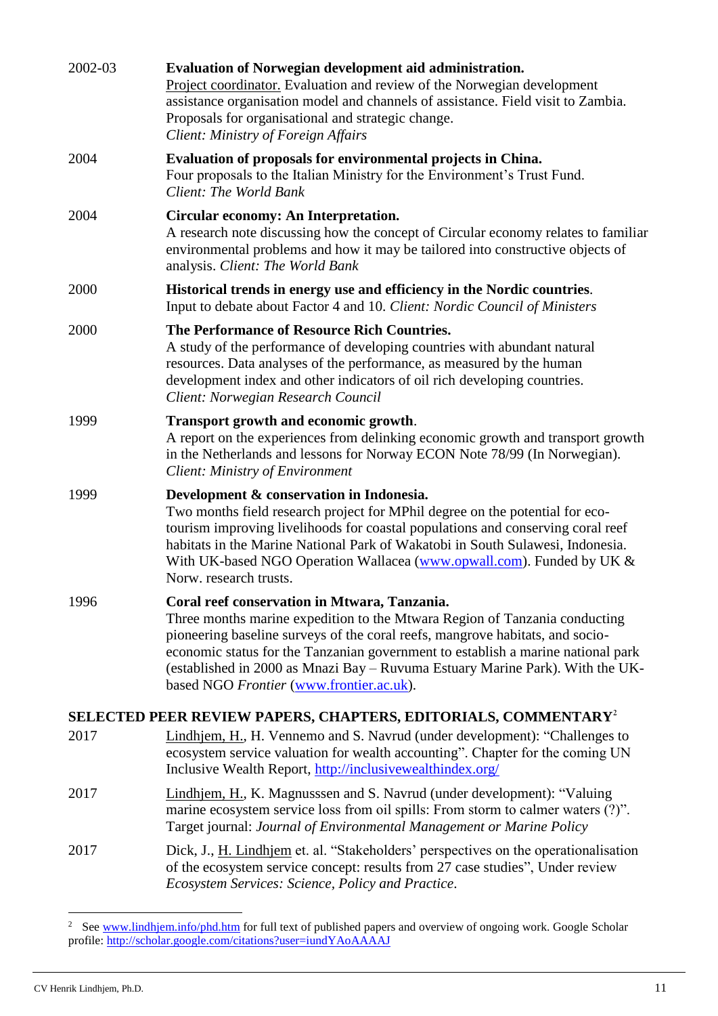| 2002-03 | Evaluation of Norwegian development aid administration.<br>Project coordinator. Evaluation and review of the Norwegian development<br>assistance organisation model and channels of assistance. Field visit to Zambia.<br>Proposals for organisational and strategic change.<br>Client: Ministry of Foreign Affairs                                                                                                          |
|---------|------------------------------------------------------------------------------------------------------------------------------------------------------------------------------------------------------------------------------------------------------------------------------------------------------------------------------------------------------------------------------------------------------------------------------|
| 2004    | Evaluation of proposals for environmental projects in China.<br>Four proposals to the Italian Ministry for the Environment's Trust Fund.<br>Client: The World Bank                                                                                                                                                                                                                                                           |
| 2004    | Circular economy: An Interpretation.<br>A research note discussing how the concept of Circular economy relates to familiar<br>environmental problems and how it may be tailored into constructive objects of<br>analysis. Client: The World Bank                                                                                                                                                                             |
| 2000    | Historical trends in energy use and efficiency in the Nordic countries.<br>Input to debate about Factor 4 and 10. Client: Nordic Council of Ministers                                                                                                                                                                                                                                                                        |
| 2000    | The Performance of Resource Rich Countries.<br>A study of the performance of developing countries with abundant natural<br>resources. Data analyses of the performance, as measured by the human<br>development index and other indicators of oil rich developing countries.<br>Client: Norwegian Research Council                                                                                                           |
| 1999    | Transport growth and economic growth.<br>A report on the experiences from delinking economic growth and transport growth<br>in the Netherlands and lessons for Norway ECON Note 78/99 (In Norwegian).<br>Client: Ministry of Environment                                                                                                                                                                                     |
| 1999    | Development & conservation in Indonesia.<br>Two months field research project for MPhil degree on the potential for eco-<br>tourism improving livelihoods for coastal populations and conserving coral reef<br>habitats in the Marine National Park of Wakatobi in South Sulawesi, Indonesia.<br>With UK-based NGO Operation Wallacea (www.opwall.com). Funded by UK &<br>Norw. research trusts.                             |
| 1996    | Coral reef conservation in Mtwara, Tanzania.<br>Three months marine expedition to the Mtwara Region of Tanzania conducting<br>pioneering baseline surveys of the coral reefs, mangrove habitats, and socio-<br>economic status for the Tanzanian government to establish a marine national park<br>(established in 2000 as Mnazi Bay - Ruvuma Estuary Marine Park). With the UK-<br>based NGO Frontier (www.frontier.ac.uk). |
|         | SELECTED PEER REVIEW PAPERS, CHAPTERS, EDITORIALS, COMMENTARY <sup>2</sup>                                                                                                                                                                                                                                                                                                                                                   |
| 2017    | Lindhjem, H., H. Vennemo and S. Navrud (under development): "Challenges to<br>ecosystem service valuation for wealth accounting". Chapter for the coming UN<br>Inclusive Wealth Report, http://inclusivewealthindex.org/                                                                                                                                                                                                     |
| 2017    | Lindhjem, H., K. Magnusssen and S. Navrud (under development): "Valuing<br>marine ecosystem service loss from oil spills: From storm to calmer waters (?)".<br>Target journal: Journal of Environmental Management or Marine Policy                                                                                                                                                                                          |
| 2017    | Dick, J., H. Lindhjem et. al. "Stakeholders' perspectives on the operationalisation<br>of the ecosystem service concept: results from 27 case studies", Under review<br>Ecosystem Services: Science, Policy and Practice.                                                                                                                                                                                                    |

<sup>2</sup> See [www.lindhjem.info/phd.htm](http://www.lindhjem.info/phd.htm) for full text of published papers and overview of ongoing work. Google Scholar profile[: http://scholar.google.com/citations?user=iundYAoAAAAJ](http://scholar.google.com/citations?user=iundYAoAAAAJ)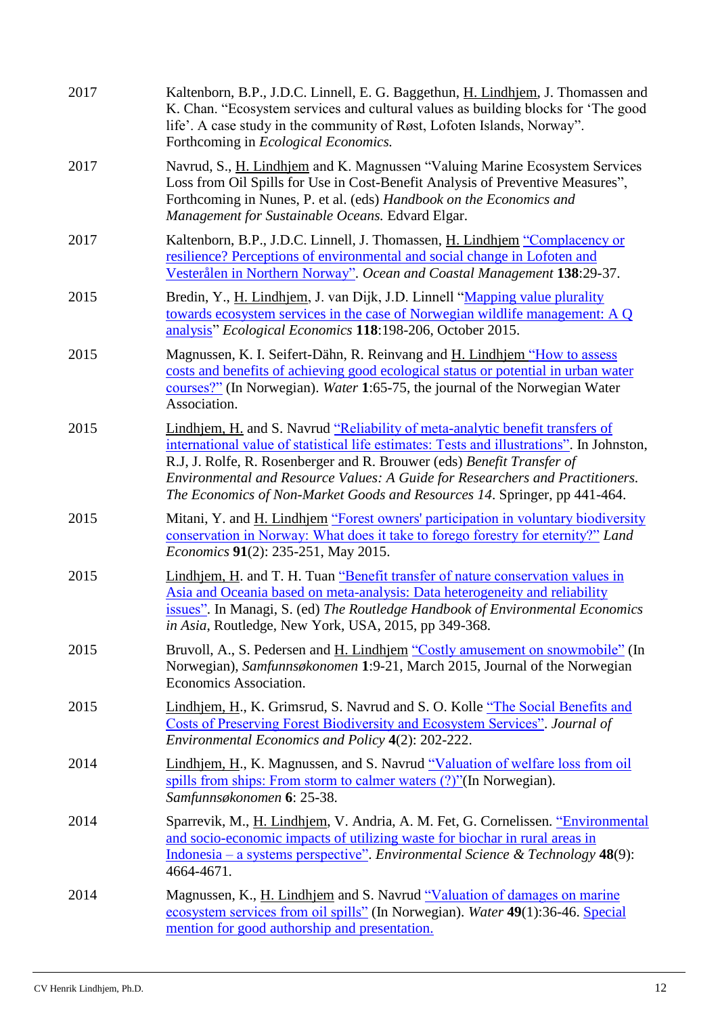| 2017 | Kaltenborn, B.P., J.D.C. Linnell, E. G. Baggethun, H. Lindhjem, J. Thomassen and<br>K. Chan. "Ecosystem services and cultural values as building blocks for 'The good<br>life'. A case study in the community of Røst, Lofoten Islands, Norway".<br>Forthcoming in <i>Ecological Economics</i> .                                                                                                                    |
|------|---------------------------------------------------------------------------------------------------------------------------------------------------------------------------------------------------------------------------------------------------------------------------------------------------------------------------------------------------------------------------------------------------------------------|
| 2017 | Navrud, S., H. Lindhjem and K. Magnussen "Valuing Marine Ecosystem Services<br>Loss from Oil Spills for Use in Cost-Benefit Analysis of Preventive Measures",<br>Forthcoming in Nunes, P. et al. (eds) Handbook on the Economics and<br>Management for Sustainable Oceans. Edvard Elgar.                                                                                                                            |
| 2017 | Kaltenborn, B.P., J.D.C. Linnell, J. Thomassen, H. Lindhjem "Complacency or<br>resilience? Perceptions of environmental and social change in Lofoten and<br>Vesterålen in Northern Norway". Ocean and Coastal Management 138:29-37.                                                                                                                                                                                 |
| 2015 | Bredin, Y., H. Lindhjem, J. van Dijk, J.D. Linnell "Mapping value plurality<br>towards ecosystem services in the case of Norwegian wildlife management: A Q<br>analysis" Ecological Economics 118:198-206, October 2015.                                                                                                                                                                                            |
| 2015 | Magnussen, K. I. Seifert-Dähn, R. Reinvang and H. Lindhjem "How to assess<br>costs and benefits of achieving good ecological status or potential in urban water<br>courses?" (In Norwegian). Water 1:65-75, the journal of the Norwegian Water<br>Association.                                                                                                                                                      |
| 2015 | Lindhjem, H. and S. Navrud "Reliability of meta-analytic benefit transfers of<br>international value of statistical life estimates: Tests and illustrations". In Johnston,<br>R.J., J. Rolfe, R. Rosenberger and R. Brouwer (eds) Benefit Transfer of<br>Environmental and Resource Values: A Guide for Researchers and Practitioners.<br>The Economics of Non-Market Goods and Resources 14. Springer, pp 441-464. |
| 2015 | Mitani, Y. and H. Lindhjem "Forest owners' participation in voluntary biodiversity<br>conservation in Norway: What does it take to forego forestry for eternity?" Land<br>Economics 91(2): 235-251, May 2015.                                                                                                                                                                                                       |
| 2015 | Lindhjem, H. and T. H. Tuan "Benefit transfer of nature conservation values in<br>Asia and Oceania based on meta-analysis: Data heterogeneity and reliability<br>issues". In Managi, S. (ed) The Routledge Handbook of Environmental Economics<br>in Asia, Routledge, New York, USA, 2015, pp 349-368.                                                                                                              |
| 2015 | Bruvoll, A., S. Pedersen and H. Lindhjem "Costly amusement on snowmobile" (In<br>Norwegian), Samfunnsøkonomen 1:9-21, March 2015, Journal of the Norwegian<br>Economics Association.                                                                                                                                                                                                                                |
| 2015 | Lindhjem, H., K. Grimsrud, S. Navrud and S. O. Kolle "The Social Benefits and<br>Costs of Preserving Forest Biodiversity and Ecosystem Services". Journal of<br>Environmental Economics and Policy 4(2): 202-222.                                                                                                                                                                                                   |
| 2014 | Lindhjem, H., K. Magnussen, and S. Navrud "Valuation of welfare loss from oil<br>spills from ships: From storm to calmer waters (?)"(In Norwegian).<br>Samfunnsøkonomen 6: 25-38.                                                                                                                                                                                                                                   |
| 2014 | Sparrevik, M., H. Lindhjem, V. Andria, A. M. Fet, G. Cornelissen. "Environmental<br>and socio-economic impacts of utilizing waste for biochar in rural areas in<br>Indonesia – a systems perspective". Environmental Science & Technology 48(9):<br>4664-4671.                                                                                                                                                      |
| 2014 | Magnussen, K., H. Lindhjem and S. Navrud "Valuation of damages on marine<br>ecosystem services from oil spills" (In Norwegian). Water 49(1):36-46. Special<br>mention for good authorship and presentation.                                                                                                                                                                                                         |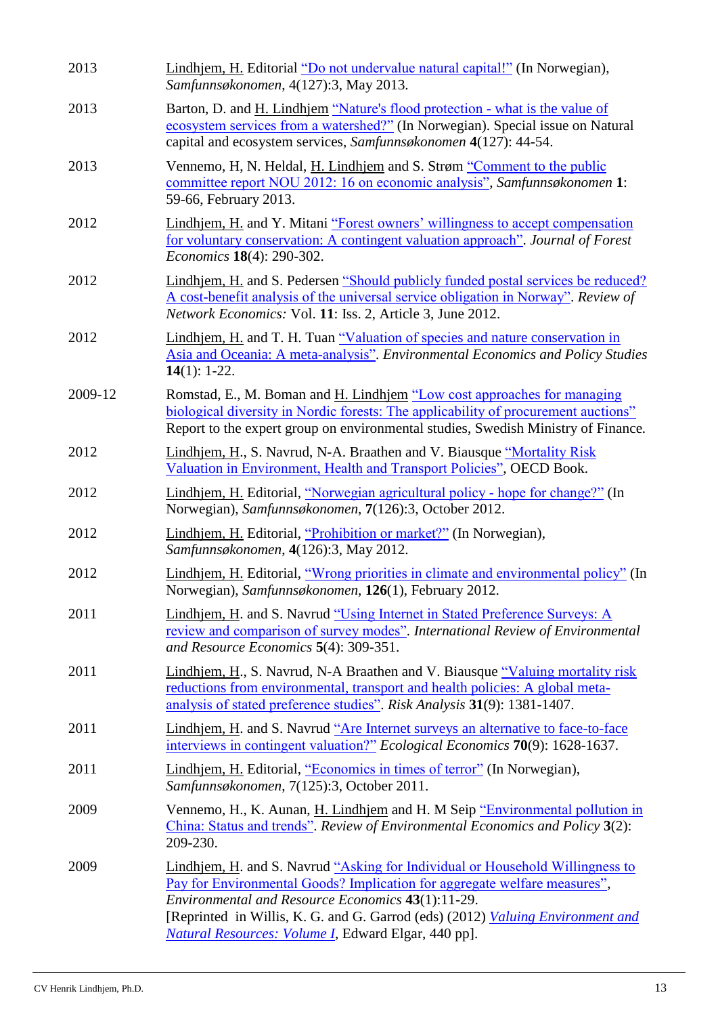| 2013    | Lindhjem, H. Editorial "Do not undervalue natural capital!" (In Norwegian),<br>Samfunnsøkonomen, 4(127):3, May 2013.                                                                                                                                                                                                                                            |
|---------|-----------------------------------------------------------------------------------------------------------------------------------------------------------------------------------------------------------------------------------------------------------------------------------------------------------------------------------------------------------------|
| 2013    | Barton, D. and H. Lindhjem "Nature's flood protection - what is the value of<br>ecosystem services from a watershed?" (In Norwegian). Special issue on Natural<br>capital and ecosystem services, Samfunnsøkonomen 4(127): 44-54.                                                                                                                               |
| 2013    | Vennemo, H, N. Heldal, H. Lindhjem and S. Strøm "Comment to the public<br>committee report NOU 2012: 16 on economic analysis", Samfunnsøkonomen 1:<br>59-66, February 2013.                                                                                                                                                                                     |
| 2012    | Lindhjem, H. and Y. Mitani "Forest owners' willingness to accept compensation<br>for voluntary conservation: A contingent valuation approach". Journal of Forest<br>Economics 18(4): 290-302.                                                                                                                                                                   |
| 2012    | Lindhjem, H. and S. Pedersen "Should publicly funded postal services be reduced?<br>A cost-benefit analysis of the universal service obligation in Norway". Review of<br>Network Economics: Vol. 11: Iss. 2, Article 3, June 2012.                                                                                                                              |
| 2012    | Lindhjem, H. and T. H. Tuan "Valuation of species and nature conservation in<br>Asia and Oceania: A meta-analysis". Environmental Economics and Policy Studies<br>14 $(1)$ : 1-22.                                                                                                                                                                              |
| 2009-12 | Romstad, E., M. Boman and H. Lindhjem "Low cost approaches for managing<br>biological diversity in Nordic forests: The applicability of procurement auctions"<br>Report to the expert group on environmental studies, Swedish Ministry of Finance.                                                                                                              |
| 2012    | Lindhjem, H., S. Navrud, N-A. Braathen and V. Biausque "Mortality Risk"<br>Valuation in Environment, Health and Transport Policies", OECD Book.                                                                                                                                                                                                                 |
| 2012    | Lindhjem, H. Editorial, "Norwegian agricultural policy - hope for change?" (In<br>Norwegian), Samfunnsøkonomen, 7(126):3, October 2012.                                                                                                                                                                                                                         |
| 2012    | Lindhjem, H. Editorial, "Prohibition or market?" (In Norwegian),<br>Samfunnsøkonomen, 4(126):3, May 2012.                                                                                                                                                                                                                                                       |
| 2012    | Lindhjem, H. Editorial, "Wrong priorities in climate and environmental policy" (In<br>Norwegian), Samfunnsøkonomen, 126(1), February 2012.                                                                                                                                                                                                                      |
| 2011    | Lindhjem, H. and S. Navrud "Using Internet in Stated Preference Surveys: A<br>review and comparison of survey modes". International Review of Environmental<br>and Resource Economics 5(4): 309-351.                                                                                                                                                            |
| 2011    | Lindhjem, H., S. Navrud, N-A Braathen and V. Biausque "Valuing mortality risk<br>reductions from environmental, transport and health policies: A global meta-<br>analysis of stated preference studies". Risk Analysis 31(9): 1381-1407.                                                                                                                        |
| 2011    | Lindhjem, H. and S. Navrud "Are Internet surveys an alternative to face-to-face<br>interviews in contingent valuation?" Ecological Economics 70(9): 1628-1637.                                                                                                                                                                                                  |
| 2011    | Lindhjem, H. Editorial, "Economics in times of terror" (In Norwegian),<br>Samfunnsøkonomen, 7(125):3, October 2011.                                                                                                                                                                                                                                             |
| 2009    | Vennemo, H., K. Aunan, H. Lindhjem and H. M Seip "Environmental pollution in<br>China: Status and trends". Review of Environmental Economics and Policy 3(2):<br>209-230.                                                                                                                                                                                       |
| 2009    | Lindhjem, H. and S. Navrud "Asking for Individual or Household Willingness to<br>Pay for Environmental Goods? Implication for aggregate welfare measures",<br>Environmental and Resource Economics 43(1):11-29.<br>[Reprinted in Willis, K. G. and G. Garrod (eds) (2012) <i>Valuing Environment and</i><br>Natural Resources: Volume I, Edward Elgar, 440 pp]. |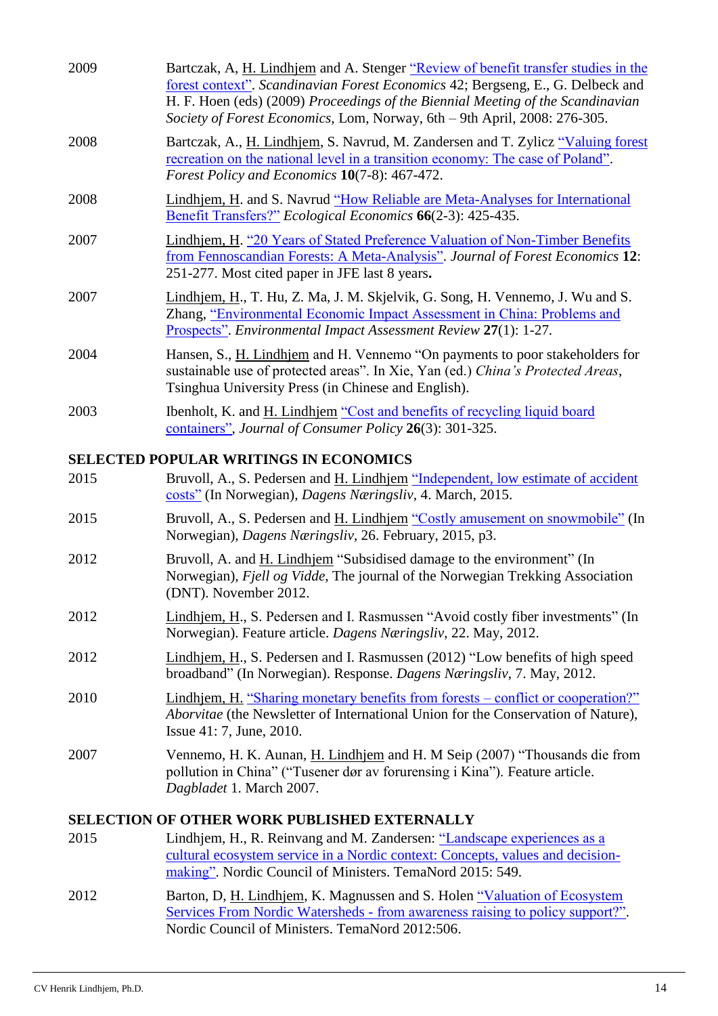| 2009 | Bartczak, A, H. Lindhjem and A. Stenger "Review of benefit transfer studies in the<br>forest context". Scandinavian Forest Economics 42; Bergseng, E., G. Delbeck and<br>H. F. Hoen (eds) (2009) Proceedings of the Biennial Meeting of the Scandinavian<br>Society of Forest Economics, Lom, Norway, 6th - 9th April, 2008: 276-305. |
|------|---------------------------------------------------------------------------------------------------------------------------------------------------------------------------------------------------------------------------------------------------------------------------------------------------------------------------------------|
| 2008 | Bartczak, A., H. Lindhjem, S. Navrud, M. Zandersen and T. Zylicz "Valuing forest<br>recreation on the national level in a transition economy: The case of Poland".<br>Forest Policy and Economics 10(7-8): 467-472.                                                                                                                   |
| 2008 | Lindhjem, H. and S. Navrud "How Reliable are Meta-Analyses for International<br>Benefit Transfers?" Ecological Economics 66(2-3): 425-435.                                                                                                                                                                                            |
| 2007 | Lindhjem, H. "20 Years of Stated Preference Valuation of Non-Timber Benefits<br>from Fennoscandian Forests: A Meta-Analysis". Journal of Forest Economics 12:<br>251-277. Most cited paper in JFE last 8 years.                                                                                                                       |
| 2007 | Lindhjem, H., T. Hu, Z. Ma, J. M. Skjelvik, G. Song, H. Vennemo, J. Wu and S.<br>Zhang, "Environmental Economic Impact Assessment in China: Problems and<br><b>Prospects".</b> Environmental Impact Assessment Review 27(1): 1-27.                                                                                                    |
| 2004 | Hansen, S., H. Lindhjem and H. Vennemo "On payments to poor stakeholders for<br>sustainable use of protected areas". In Xie, Yan (ed.) China's Protected Areas,<br>Tsinghua University Press (in Chinese and English).                                                                                                                |
| 2003 | Ibenholt, K. and <u>H. Lindhjem</u> "Cost and benefits of recycling liquid board"<br>containers", Journal of Consumer Policy 26(3): 301-325.                                                                                                                                                                                          |
|      | SELECTED POPULAR WRITINGS IN ECONOMICS                                                                                                                                                                                                                                                                                                |
| 2015 | Bruvoll, A., S. Pedersen and H. Lindhjem "Independent, low estimate of accident<br>costs" (In Norwegian), Dagens Næringsliv, 4. March, 2015.                                                                                                                                                                                          |
| 2015 | Bruvoll, A., S. Pedersen and H. Lindhjem "Costly amusement on snowmobile" (In<br>Norwegian), Dagens Næringsliv, 26. February, 2015, p3.                                                                                                                                                                                               |
| 2012 | Bruvoll, A. and H. Lindhjem "Subsidised damage to the environment" (In<br>Norwegian), Fjell og Vidde, The journal of the Norwegian Trekking Association<br>(DNT). November 2012.                                                                                                                                                      |
| 2012 | Lindhjem, H., S. Pedersen and I. Rasmussen "Avoid costly fiber investments" (In<br>Norwegian). Feature article. Dagens Næringsliv, 22. May, 2012.                                                                                                                                                                                     |
| 2012 | Lindhjem, H., S. Pedersen and I. Rasmussen (2012) "Low benefits of high speed<br>broadband" (In Norwegian). Response. Dagens Næringsliv, 7. May, 2012.                                                                                                                                                                                |
| 2010 | <u>Lindhjem, H. "Sharing monetary benefits from forests – conflict or cooperation?"</u><br>Aborvitae (the Newsletter of International Union for the Conservation of Nature),<br>Issue 41: 7, June, 2010.                                                                                                                              |
| 2007 | Vennemo, H. K. Aunan, H. Lindhjem and H. M Seip (2007) "Thousands die from<br>pollution in China" ("Tusener dør av forurensing i Kina"). Feature article.<br>Dagbladet 1. March 2007.                                                                                                                                                 |
|      | <b>SELECTION OF OTHER WORK PUBLISHED EXTERNALLY</b>                                                                                                                                                                                                                                                                                   |
| 2015 | Lindhjem, H., R. Reinvang and M. Zandersen: "Landscape experiences as a<br>cultural ecosystem service in a Nordic context: Concepts, values and decision-<br>making". Nordic Council of Ministers. TemaNord 2015: 549.                                                                                                                |
| 2012 | Barton, D, H. Lindhjem, K. Magnussen and S. Holen "Valuation of Ecosystem                                                                                                                                                                                                                                                             |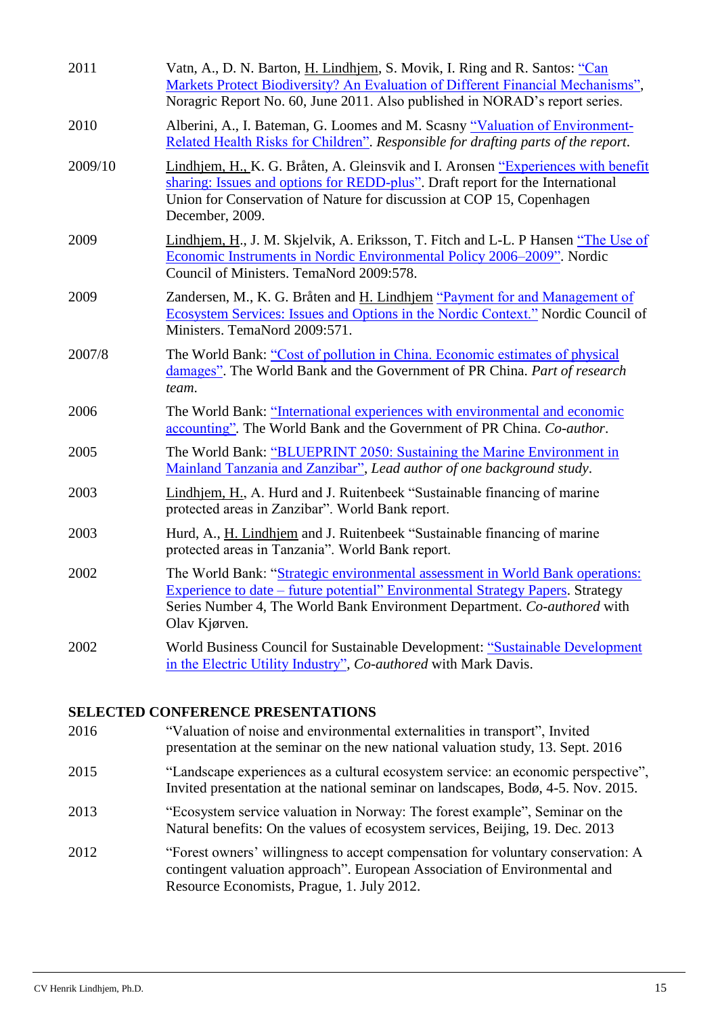| 2011    | Vatn, A., D. N. Barton, H. Lindhjem, S. Movik, I. Ring and R. Santos: "Can<br>Markets Protect Biodiversity? An Evaluation of Different Financial Mechanisms",<br>Noragric Report No. 60, June 2011. Also published in NORAD's report series.                    |
|---------|-----------------------------------------------------------------------------------------------------------------------------------------------------------------------------------------------------------------------------------------------------------------|
| 2010    | Alberini, A., I. Bateman, G. Loomes and M. Scasny "Valuation of Environment-<br>Related Health Risks for Children". Responsible for drafting parts of the report.                                                                                               |
| 2009/10 | Lindhjem, H., K. G. Bråten, A. Gleinsvik and I. Aronsen "Experiences with benefit<br>sharing: Issues and options for REDD-plus". Draft report for the International<br>Union for Conservation of Nature for discussion at COP 15, Copenhagen<br>December, 2009. |
| 2009    | Lindhjem, H., J. M. Skjelvik, A. Eriksson, T. Fitch and L-L. P Hansen "The Use of<br>Economic Instruments in Nordic Environmental Policy 2006–2009". Nordic<br>Council of Ministers. TemaNord 2009:578.                                                         |
| 2009    | Zandersen, M., K. G. Bråten and H. Lindhjem "Payment for and Management of<br>Ecosystem Services: Issues and Options in the Nordic Context." Nordic Council of<br>Ministers. TemaNord 2009:571.                                                                 |
| 2007/8  | The World Bank: "Cost of pollution in China. Economic estimates of physical<br>damages". The World Bank and the Government of PR China. Part of research<br>team.                                                                                               |
| 2006    | The World Bank: "International experiences with environmental and economic<br>accounting". The World Bank and the Government of PR China. Co-author.                                                                                                            |
| 2005    | The World Bank: "BLUEPRINT 2050: Sustaining the Marine Environment in<br>Mainland Tanzania and Zanzibar", Lead author of one background study.                                                                                                                  |
| 2003    | Lindhjem, H., A. Hurd and J. Ruitenbeek "Sustainable financing of marine<br>protected areas in Zanzibar". World Bank report.                                                                                                                                    |
| 2003    | Hurd, A., H. Lindhjem and J. Ruitenbeek "Sustainable financing of marine<br>protected areas in Tanzania". World Bank report.                                                                                                                                    |
| 2002    | The World Bank: "Strategic environmental assessment in World Bank operations:<br>Experience to date – future potential" Environmental Strategy Papers. Strategy<br>Series Number 4, The World Bank Environment Department. Co-authored with<br>Olav Kjørven.    |
| 2002    | World Business Council for Sustainable Development: "Sustainable Development<br>in the Electric Utility Industry", Co-authored with Mark Davis.                                                                                                                 |

## **SELECTED CONFERENCE PRESENTATIONS**

| 2016 | "Valuation of noise and environmental externalities in transport", Invited<br>presentation at the seminar on the new national valuation study, 13. Sept. 2016                                               |
|------|-------------------------------------------------------------------------------------------------------------------------------------------------------------------------------------------------------------|
| 2015 | "Landscape experiences as a cultural ecosystem service: an economic perspective",<br>Invited presentation at the national seminar on landscapes, Bodø, 4-5. Nov. 2015.                                      |
| 2013 | "Ecosystem service valuation in Norway: The forest example", Seminar on the<br>Natural benefits: On the values of ecosystem services, Beijing, 19. Dec. 2013                                                |
| 2012 | "Forest owners' willingness to accept compensation for voluntary conservation: A<br>contingent valuation approach". European Association of Environmental and<br>Resource Economists, Prague, 1. July 2012. |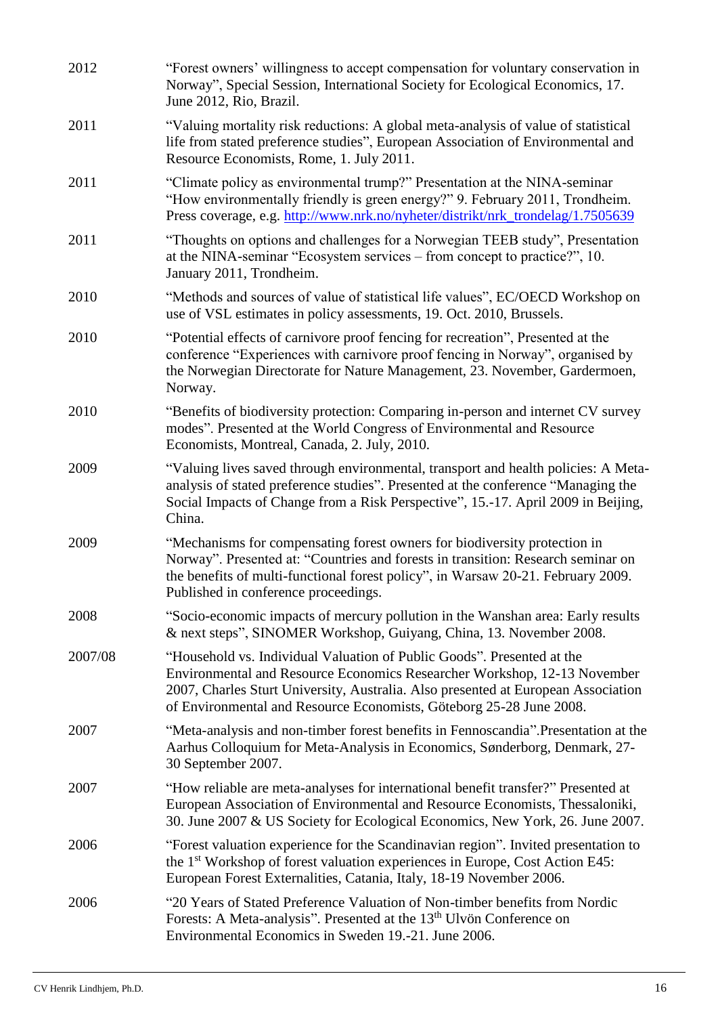| 2012    | "Forest owners' willingness to accept compensation for voluntary conservation in<br>Norway", Special Session, International Society for Ecological Economics, 17.<br>June 2012, Rio, Brazil.                                                                                                                   |
|---------|----------------------------------------------------------------------------------------------------------------------------------------------------------------------------------------------------------------------------------------------------------------------------------------------------------------|
| 2011    | "Valuing mortality risk reductions: A global meta-analysis of value of statistical<br>life from stated preference studies", European Association of Environmental and<br>Resource Economists, Rome, 1. July 2011.                                                                                              |
| 2011    | "Climate policy as environmental trump?" Presentation at the NINA-seminar<br>"How environmentally friendly is green energy?" 9. February 2011, Trondheim.<br>Press coverage, e.g. http://www.nrk.no/nyheter/distrikt/nrk_trondelag/1.7505639                                                                   |
| 2011    | "Thoughts on options and challenges for a Norwegian TEEB study", Presentation<br>at the NINA-seminar "Ecosystem services - from concept to practice?", 10.<br>January 2011, Trondheim.                                                                                                                         |
| 2010    | "Methods and sources of value of statistical life values", EC/OECD Workshop on<br>use of VSL estimates in policy assessments, 19. Oct. 2010, Brussels.                                                                                                                                                         |
| 2010    | "Potential effects of carnivore proof fencing for recreation", Presented at the<br>conference "Experiences with carnivore proof fencing in Norway", organised by<br>the Norwegian Directorate for Nature Management, 23. November, Gardermoen,<br>Norway.                                                      |
| 2010    | "Benefits of biodiversity protection: Comparing in-person and internet CV survey<br>modes". Presented at the World Congress of Environmental and Resource<br>Economists, Montreal, Canada, 2. July, 2010.                                                                                                      |
| 2009    | "Valuing lives saved through environmental, transport and health policies: A Meta-<br>analysis of stated preference studies". Presented at the conference "Managing the<br>Social Impacts of Change from a Risk Perspective", 15.-17. April 2009 in Beijing,<br>China.                                         |
| 2009    | "Mechanisms for compensating forest owners for biodiversity protection in<br>Norway". Presented at: "Countries and forests in transition: Research seminar on<br>the benefits of multi-functional forest policy", in Warsaw 20-21. February 2009.<br>Published in conference proceedings.                      |
| 2008    | "Socio-economic impacts of mercury pollution in the Wanshan area: Early results<br>& next steps", SINOMER Workshop, Guiyang, China, 13. November 2008.                                                                                                                                                         |
| 2007/08 | "Household vs. Individual Valuation of Public Goods". Presented at the<br>Environmental and Resource Economics Researcher Workshop, 12-13 November<br>2007, Charles Sturt University, Australia. Also presented at European Association<br>of Environmental and Resource Economists, Göteborg 25-28 June 2008. |
| 2007    | "Meta-analysis and non-timber forest benefits in Fennoscandia".Presentation at the<br>Aarhus Colloquium for Meta-Analysis in Economics, Sønderborg, Denmark, 27-<br>30 September 2007.                                                                                                                         |
| 2007    | "How reliable are meta-analyses for international benefit transfer?" Presented at<br>European Association of Environmental and Resource Economists, Thessaloniki,<br>30. June 2007 & US Society for Ecological Economics, New York, 26. June 2007.                                                             |
| 2006    | "Forest valuation experience for the Scandinavian region". Invited presentation to<br>the 1 <sup>st</sup> Workshop of forest valuation experiences in Europe, Cost Action E45:<br>European Forest Externalities, Catania, Italy, 18-19 November 2006.                                                          |
| 2006    | "20 Years of Stated Preference Valuation of Non-timber benefits from Nordic<br>Forests: A Meta-analysis". Presented at the 13 <sup>th</sup> Ulvön Conference on<br>Environmental Economics in Sweden 19.-21. June 2006.                                                                                        |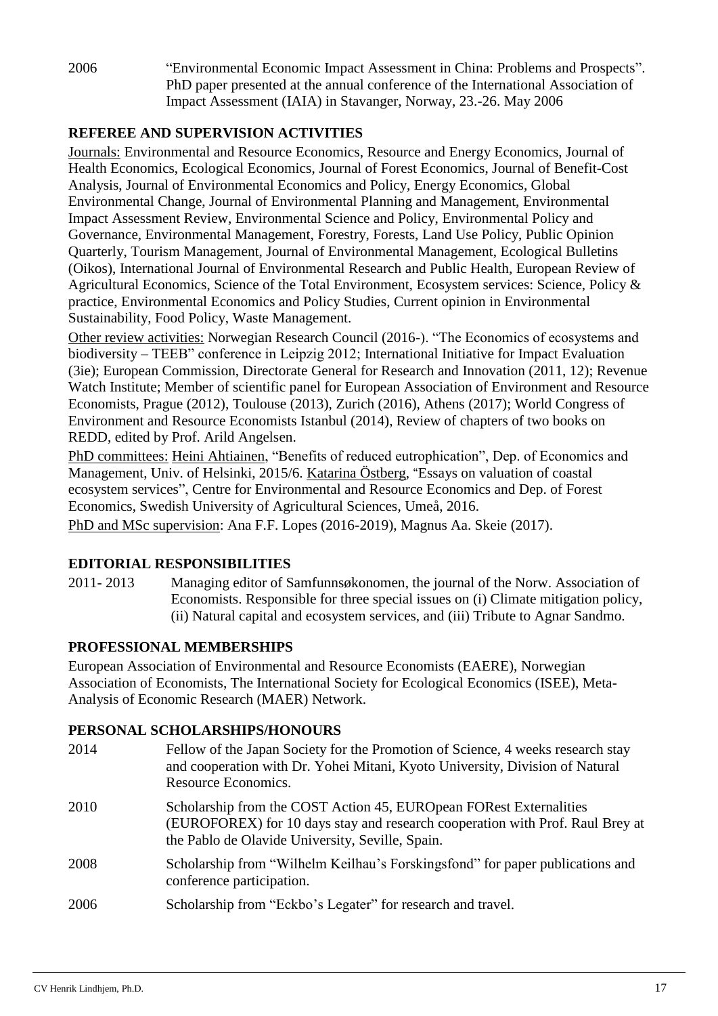2006 "Environmental Economic Impact Assessment in China: Problems and Prospects". PhD paper presented at the annual conference of the International Association of Impact Assessment (IAIA) in Stavanger, Norway, 23.-26. May 2006

## **REFEREE AND SUPERVISION ACTIVITIES**

Journals: Environmental and Resource Economics, Resource and Energy Economics, Journal of Health Economics, Ecological Economics, Journal of Forest Economics, Journal of Benefit-Cost Analysis, Journal of Environmental Economics and Policy, Energy Economics, Global Environmental Change, Journal of Environmental Planning and Management, Environmental Impact Assessment Review, Environmental Science and Policy, Environmental Policy and Governance, Environmental Management, Forestry, Forests, Land Use Policy, Public Opinion Quarterly, Tourism Management, Journal of Environmental Management, Ecological Bulletins (Oikos), International Journal of Environmental Research and Public Health, European Review of Agricultural Economics, Science of the Total Environment, Ecosystem services: Science, Policy & practice, Environmental Economics and Policy Studies, Current opinion in Environmental Sustainability, Food Policy, Waste Management.

Other review activities: Norwegian Research Council (2016-). "The Economics of ecosystems and biodiversity – TEEB" conference in Leipzig 2012; International Initiative for Impact Evaluation (3ie); European Commission, Directorate General for Research and Innovation (2011, 12); Revenue Watch Institute; Member of scientific panel for European Association of Environment and Resource Economists, Prague (2012), Toulouse (2013), Zurich (2016), Athens (2017); World Congress of Environment and Resource Economists Istanbul (2014), Review of chapters of two books on REDD, edited by Prof. Arild Angelsen.

PhD committees: Heini Ahtiainen, "Benefits of reduced eutrophication", Dep. of Economics and Management, Univ. of Helsinki, 2015/6. Katarina Östberg, "Essays on valuation of coastal ecosystem services", Centre for Environmental and Resource Economics and Dep. of Forest Economics, Swedish University of Agricultural Sciences, Umeå, 2016.

PhD and MSc supervision: Ana F.F. Lopes (2016-2019), Magnus Aa. Skeie (2017).

## **EDITORIAL RESPONSIBILITIES**

2011- 2013 Managing editor of Samfunnsøkonomen, the journal of the Norw. Association of Economists. Responsible for three special issues on (i) Climate mitigation policy, (ii) Natural capital and ecosystem services, and (iii) Tribute to Agnar Sandmo.

## **PROFESSIONAL MEMBERSHIPS**

European Association of Environmental and Resource Economists (EAERE), Norwegian Association of Economists, The International Society for Ecological Economics (ISEE), Meta-Analysis of Economic Research (MAER) Network.

## **PERSONAL SCHOLARSHIPS/HONOURS**

| 2014 | Fellow of the Japan Society for the Promotion of Science, 4 weeks research stay<br>and cooperation with Dr. Yohei Mitani, Kyoto University, Division of Natural<br>Resource Economics.                  |
|------|---------------------------------------------------------------------------------------------------------------------------------------------------------------------------------------------------------|
| 2010 | Scholarship from the COST Action 45, EUROpean FORest Externalities<br>(EUROFOREX) for 10 days stay and research cooperation with Prof. Raul Brey at<br>the Pablo de Olavide University, Seville, Spain. |
| 2008 | Scholarship from "Wilhelm Keilhau's Forskingsfond" for paper publications and<br>conference participation.                                                                                              |
| 2006 | Scholarship from "Eckbo's Legater" for research and travel.                                                                                                                                             |